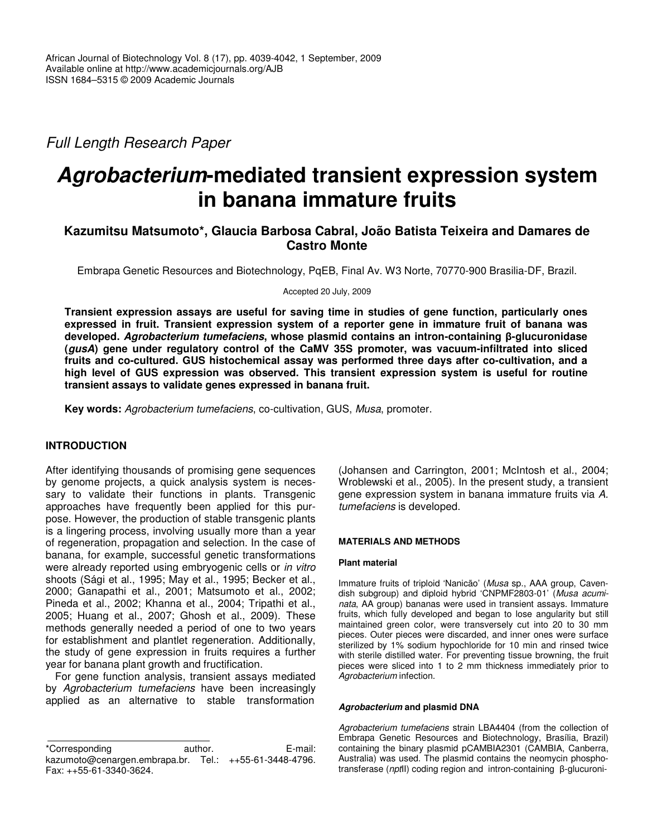*Full Length Research Paper*

# *Agrobacterium***-mediated transient expression system in banana immature fruits**

# **Kazumitsu Matsumoto\*, Glaucia Barbosa Cabral, João Batista Teixeira and Damares de Castro Monte**

Embrapa Genetic Resources and Biotechnology, PqEB, Final Av. W3 Norte, 70770-900 Brasilia-DF, Brazil.

Accepted 20 July, 2009

**Transient expression assays are useful for saving time in studies of gene function, particularly ones expressed in fruit. Transient expression system of a reporter gene in immature fruit of banana was developed.** *Agrobacterium tumefaciens***, whose plasmid contains an intron-containing -glucuronidase (***gusA***) gene under regulatory control of the CaMV 35S promoter, was vacuum-infiltrated into sliced fruits and co-cultured. GUS histochemical assay was performed three days after co-cultivation, and a high level of GUS expression was observed. This transient expression system is useful for routine transient assays to validate genes expressed in banana fruit.**

**Key words:** *Agrobacterium tumefaciens*, co-cultivation, GUS, *Musa*, promoter.

# **INTRODUCTION**

After identifying thousands of promising gene sequences by genome projects, a quick analysis system is necessary to validate their functions in plants. Transgenic approaches have frequently been applied for this purpose. However, the production of stable transgenic plants is a lingering process, involving usually more than a year of regeneration, propagation and selection. In the case of banana, for example, successful genetic transformations were already reported using embryogenic cells or *in vitro* shoots (Sági et al., 1995; May et al., 1995; Becker et al., 2000; Ganapathi et al., 2001; Matsumoto et al., 2002; Pineda et al., 2002; Khanna et al., 2004; Tripathi et al., 2005; Huang et al., 2007; Ghosh et al., 2009). These methods generally needed a period of one to two years for establishment and plantlet regeneration. Additionally, the study of gene expression in fruits requires a further year for banana plant growth and fructification.

For gene function analysis, transient assays mediated by *Agrobacterium tumefaciens* have been increasingly applied as an alternative to stable transformation

(Johansen and Carrington, 2001; McIntosh et al., 2004; Wroblewski et al., 2005). In the present study, a transient gene expression system in banana immature fruits via *A. tumefaciens* is developed.

## **MATERIALS AND METHODS**

## **Plant material**

Immature fruits of triploid 'Nanicão' (*Musa* sp., AAA group, Cavendish subgroup) and diploid hybrid 'CNPMF2803-01' (*Musa acuminata*, AA group) bananas were used in transient assays. Immature fruits, which fully developed and began to lose angularity but still maintained green color, were transversely cut into 20 to 30 mm pieces. Outer pieces were discarded, and inner ones were surface sterilized by 1% sodium hypochloride for 10 min and rinsed twice with sterile distilled water. For preventing tissue browning, the fruit pieces were sliced into 1 to 2 mm thickness immediately prior to *Agrobacterium* infection.

## *Agrobacterium* **and plasmid DNA**

*Agrobacterium tumefaciens* strain LBA4404 (from the collection of Embrapa Genetic Resources and Biotechnology, Brasília, Brazil) containing the binary plasmid pCAMBIA2301 (CAMBIA, Canberra, Australia) was used. The plasmid contains the neomycin phosphotransferase (*npt*II) coding region and intron-containing β-glucuroni-

<sup>\*</sup>Corresponding author. E-mail: kazumoto@cenargen.embrapa.br. Tel.: ++55-61-3448-4796. Fax: ++55-61-3340-3624.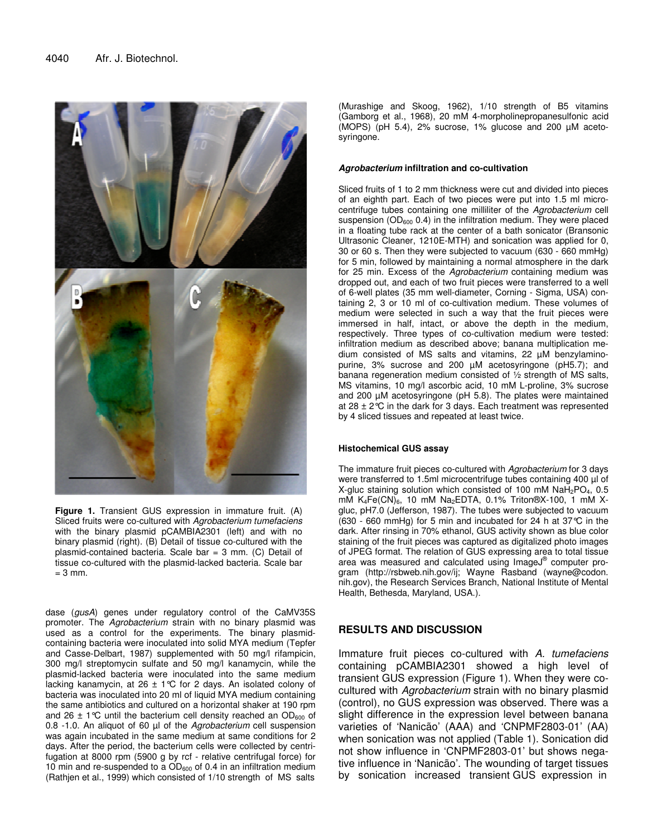

**Figure 1.** Transient GUS expression in immature fruit. (A) Sliced fruits were co-cultured with *Agrobacterium tumefaciens* with the binary plasmid pCAMBIA2301 (left) and with no binary plasmid (right). (B) Detail of tissue co-cultured with the plasmid-contained bacteria. Scale bar = 3 mm. (C) Detail of tissue co-cultured with the plasmid-lacked bacteria. Scale bar  $= 3$  mm.

dase (*gusA*) genes under regulatory control of the CaMV35S promoter. The *Agrobacterium* strain with no binary plasmid was used as a control for the experiments. The binary plasmidcontaining bacteria were inoculated into solid MYA medium (Tepfer and Casse-Delbart, 1987) supplemented with 50 mg/l rifampicin, 300 mg/l streptomycin sulfate and 50 mg/l kanamycin, while the plasmid-lacked bacteria were inoculated into the same medium lacking kanamycin, at 26  $\pm$  1°C for 2 days. An isolated colony of bacteria was inoculated into 20 ml of liquid MYA medium containing the same antibiotics and cultured on a horizontal shaker at 190 rpm and 26  $\pm$  1 °C until the bacterium cell density reached an OD<sub>600</sub> of 0.8 -1.0. An aliquot of 60 µl of the *Agrobacterium* cell suspension was again incubated in the same medium at same conditions for 2 days. After the period, the bacterium cells were collected by centrifugation at 8000 rpm (5900 g by rcf - relative centrifugal force) for 10 min and re-suspended to a  $OD<sub>600</sub>$  of 0.4 in an infiltration medium (Rathjen et al., 1999) which consisted of 1/10 strength of MS salts

(Murashige and Skoog, 1962), 1/10 strength of B5 vitamins (Gamborg et al., 1968), 20 mM 4-morpholinepropanesulfonic acid (MOPS) (pH 5.4), 2% sucrose, 1% glucose and 200 µM acetosyringone.

#### *Agrobacterium* **infiltration and co-cultivation**

Sliced fruits of 1 to 2 mm thickness were cut and divided into pieces of an eighth part. Each of two pieces were put into 1.5 ml microcentrifuge tubes containing one milliliter of the *Agrobacterium* cell suspension ( $OD_{600}$  0.4) in the infiltration medium. They were placed in a floating tube rack at the center of a bath sonicator (Bransonic Ultrasonic Cleaner, 1210E-MTH) and sonication was applied for 0, 30 or 60 s. Then they were subjected to vacuum (630 - 660 mmHg) for 5 min, followed by maintaining a normal atmosphere in the dark for 25 min. Excess of the *Agrobacterium* containing medium was dropped out, and each of two fruit pieces were transferred to a well of 6-well plates (35 mm well-diameter, Corning - Sigma, USA) containing 2, 3 or 10 ml of co-cultivation medium. These volumes of medium were selected in such a way that the fruit pieces were immersed in half, intact, or above the depth in the medium, respectively. Three types of co-cultivation medium were tested: infiltration medium as described above; banana multiplication medium consisted of MS salts and vitamins, 22 µM benzylaminopurine, 3% sucrose and 200 µM acetosyringone (pH5.7); and banana regeneration medium consisted of ½ strength of MS salts, MS vitamins, 10 mg/l ascorbic acid, 10 mM L-proline, 3% sucrose and 200 µM acetosyringone (pH 5.8). The plates were maintained at 28  $\pm$  2°C in the dark for 3 days. Each treatment was represented by 4 sliced tissues and repeated at least twice.

#### **Histochemical GUS assay**

The immature fruit pieces co-cultured with *Agrobacterium* for 3 days were transferred to 1.5ml microcentrifuge tubes containing 400 µl of X-gluc staining solution which consisted of 100 mM  $NaH<sub>2</sub>PO<sub>4</sub>$ , 0.5 mM K<sub>4</sub>Fe(CN)<sub>6</sub>, 10 mM Na<sub>2</sub>EDTA, 0.1% Triton®X-100, 1 mM Xgluc, pH7.0 (Jefferson, 1987). The tubes were subjected to vacuum (630 - 660 mmHg) for 5 min and incubated for 24 h at 37°C in the dark. After rinsing in 70% ethanol, GUS activity shown as blue color staining of the fruit pieces was captured as digitalized photo images of JPEG format. The relation of GUS expressing area to total tissue area was measured and calculated using ImageJ® computer program (http://rsbweb.nih.gov/ij; Wayne Rasband (wayne@codon. nih.gov), the Research Services Branch, National Institute of Mental Health, Bethesda, Maryland, USA.).

## **RESULTS AND DISCUSSION**

Immature fruit pieces co-cultured with *A. tumefaciens* containing pCAMBIA2301 showed a high level of transient GUS expression (Figure 1). When they were cocultured with *Agrobacterium* strain with no binary plasmid (control), no GUS expression was observed. There was a slight difference in the expression level between banana varieties of 'Nanicão' (AAA) and 'CNPMF2803-01' (AA) when sonication was not applied (Table 1). Sonication did not show influence in 'CNPMF2803-01' but shows negative influence in 'Nanicão'. The wounding of target tissues by sonication increased transient GUS expression in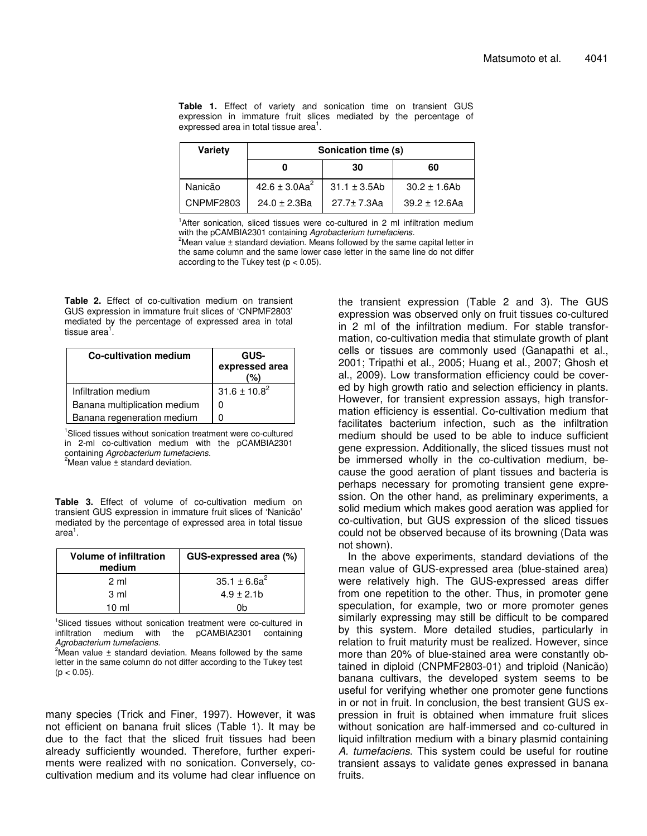**Table 1.** Effect of variety and sonication time on transient GUS expression in immature fruit slices mediated by the percentage of expressed area in total tissue area<sup>1</sup>.

| <b>Variety</b>   | Sonication time (s)           |                   |                    |
|------------------|-------------------------------|-------------------|--------------------|
|                  |                               | 30                | 60                 |
| Nanicão          | 42.6 $\pm$ 3.0Aa <sup>2</sup> | $31.1 \pm 3.5$ Ab | $30.2 \pm 1.6$ Ab  |
| <b>CNPMF2803</b> | $24.0 \pm 2.3$ Ba             | $27.7 \pm 7.3$ Aa | $39.2 \pm 12.6$ Aa |

<sup>1</sup>After sonication, sliced tissues were co-cultured in 2 ml infiltration medium with the pCAMBIA2301 containing *Agrobacterium tumefaciens.* <sup>2</sup>Mean value  $\pm$  standard deviation. Means followed by the same capital letter in the same column and the same lower case letter in the same line do not differ according to the Tukey test  $(p < 0.05)$ .

**Table 2.** Effect of co-cultivation medium on transient GUS expression in immature fruit slices of 'CNPMF2803' mediated by the percentage of expressed area in total tissue area<sup>1</sup>.

| <b>Co-cultivation medium</b> | GUS-<br>expressed area<br>%) |
|------------------------------|------------------------------|
| Infiltration medium          | $31.6 \pm 10.8^2$            |
| Banana multiplication medium |                              |
| Banana regeneration medium   |                              |

<sup>1</sup>Sliced tissues without sonication treatment were co-cultured in 2-ml co-cultivation medium with the pCAMBIA2301 containing *Agrobacterium tumefaciens.*  $2$ Mean value  $\pm$  standard deviation.

**Table 3.** Effect of volume of co-cultivation medium on transient GUS expression in immature fruit slices of 'Nanicão' mediated by the percentage of expressed area in total tissue area<sup>1</sup>.

| <b>Volume of infiltration</b><br>medium | GUS-expressed area (%) |  |
|-----------------------------------------|------------------------|--|
| 2 ml                                    | $35.1 \pm 6.6a^2$      |  |
| 3 ml                                    | $4.9 \pm 2.1$ b        |  |
| $10 \mathrm{m}$                         | 1h                     |  |

<sup>1</sup>Sliced tissues without sonication treatment were co-cultured in infiltration medium with the pCAMBIA2301 containing *Agrobacterium tumefaciens.*

<sup>2</sup>Mean value  $\pm$  standard deviation. Means followed by the same letter in the same column do not differ according to the Tukey test  $(p < 0.05)$ .

many species (Trick and Finer, 1997). However, it was not efficient on banana fruit slices (Table 1). It may be due to the fact that the sliced fruit tissues had been already sufficiently wounded. Therefore, further experiments were realized with no sonication. Conversely, cocultivation medium and its volume had clear influence on the transient expression (Table 2 and 3). The GUS expression was observed only on fruit tissues co-cultured in 2 ml of the infiltration medium. For stable transformation, co-cultivation media that stimulate growth of plant cells or tissues are commonly used (Ganapathi et al., 2001; Tripathi et al., 2005; Huang et al., 2007; Ghosh et al., 2009). Low transformation efficiency could be covered by high growth ratio and selection efficiency in plants. However, for transient expression assays, high transformation efficiency is essential. Co-cultivation medium that facilitates bacterium infection, such as the infiltration medium should be used to be able to induce sufficient gene expression. Additionally, the sliced tissues must not be immersed wholly in the co-cultivation medium, because the good aeration of plant tissues and bacteria is perhaps necessary for promoting transient gene expression. On the other hand, as preliminary experiments, a solid medium which makes good aeration was applied for co-cultivation, but GUS expression of the sliced tissues could not be observed because of its browning (Data was not shown).

In the above experiments, standard deviations of the mean value of GUS-expressed area (blue-stained area) were relatively high. The GUS-expressed areas differ from one repetition to the other. Thus, in promoter gene speculation, for example, two or more promoter genes similarly expressing may still be difficult to be compared by this system. More detailed studies, particularly in relation to fruit maturity must be realized. However, since more than 20% of blue-stained area were constantly obtained in diploid (CNPMF2803-01) and triploid (Nanicão) banana cultivars, the developed system seems to be useful for verifying whether one promoter gene functions in or not in fruit. In conclusion, the best transient GUS expression in fruit is obtained when immature fruit slices without sonication are half-immersed and co-cultured in liquid infiltration medium with a binary plasmid containing *A. tumefaciens*. This system could be useful for routine transient assays to validate genes expressed in banana fruits.